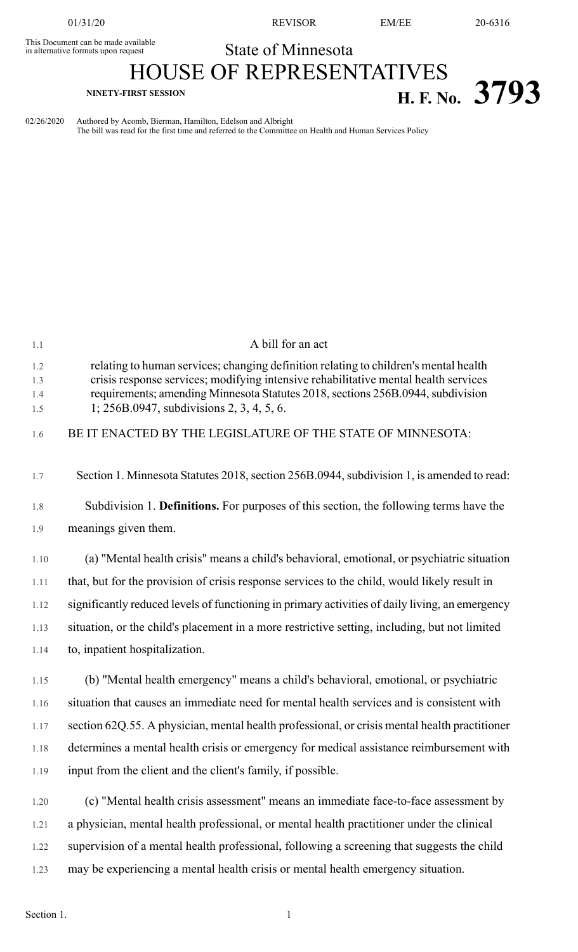This Document can be made available<br>in alternative formats upon request

01/31/20 REVISOR EM/EE 20-6316

State of Minnesota

HOUSE OF REPRESENTATIVES **NINETY-FIRST SESSION H. F. No. 3793**

02/26/2020 Authored by Acomb, Bierman, Hamilton, Edelson and Albright The bill was read for the first time and referred to the Committee on Health and Human Services Policy

| 1.1                      | A bill for an act                                                                                                                                                                                                                                                                                           |
|--------------------------|-------------------------------------------------------------------------------------------------------------------------------------------------------------------------------------------------------------------------------------------------------------------------------------------------------------|
| 1.2<br>1.3<br>1.4<br>1.5 | relating to human services; changing definition relating to children's mental health<br>crisis response services; modifying intensive rehabilitative mental health services<br>requirements; amending Minnesota Statutes 2018, sections 256B.0944, subdivision<br>1; 256B.0947, subdivisions 2, 3, 4, 5, 6. |
| 1.6                      | BE IT ENACTED BY THE LEGISLATURE OF THE STATE OF MINNESOTA:                                                                                                                                                                                                                                                 |
| 1.7                      | Section 1. Minnesota Statutes 2018, section 256B.0944, subdivision 1, is amended to read:                                                                                                                                                                                                                   |
| 1.8                      | Subdivision 1. Definitions. For purposes of this section, the following terms have the                                                                                                                                                                                                                      |
| 1.9                      | meanings given them.                                                                                                                                                                                                                                                                                        |
| 1.10                     | (a) "Mental health crisis" means a child's behavioral, emotional, or psychiatric situation                                                                                                                                                                                                                  |
| 1.11                     | that, but for the provision of crisis response services to the child, would likely result in                                                                                                                                                                                                                |
| 1.12                     | significantly reduced levels of functioning in primary activities of daily living, an emergency                                                                                                                                                                                                             |
| 1.13                     | situation, or the child's placement in a more restrictive setting, including, but not limited                                                                                                                                                                                                               |
| 1.14                     | to, inpatient hospitalization.                                                                                                                                                                                                                                                                              |
| 1.15                     | (b) "Mental health emergency" means a child's behavioral, emotional, or psychiatric                                                                                                                                                                                                                         |
| 1.16                     | situation that causes an immediate need for mental health services and is consistent with                                                                                                                                                                                                                   |
| 1.17                     | section 62Q.55. A physician, mental health professional, or crisis mental health practitioner                                                                                                                                                                                                               |
| 1.18                     | determines a mental health crisis or emergency for medical assistance reimbursement with                                                                                                                                                                                                                    |
| 1.19                     | input from the client and the client's family, if possible.                                                                                                                                                                                                                                                 |
| 1.20                     | (c) "Mental health crisis assessment" means an immediate face-to-face assessment by                                                                                                                                                                                                                         |
| 1.21                     | a physician, mental health professional, or mental health practitioner under the clinical                                                                                                                                                                                                                   |
| 1.22                     | supervision of a mental health professional, following a screening that suggests the child                                                                                                                                                                                                                  |
| 1.23                     | may be experiencing a mental health crisis or mental health emergency situation.                                                                                                                                                                                                                            |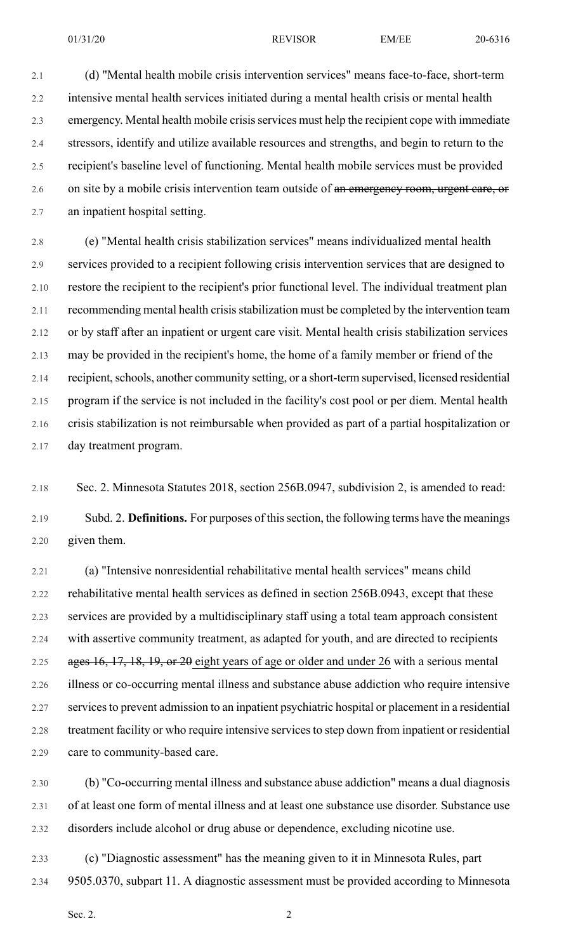01/31/20 **REVISOR** EM/EE 20-6316

2.1 (d) "Mental health mobile crisis intervention services" means face-to-face, short-term 2.2 intensive mental health services initiated during a mental health crisis or mental health 2.3 emergency. Mental health mobile crisis services must help the recipient cope with immediate 2.4 stressors, identify and utilize available resources and strengths, and begin to return to the 2.5 recipient's baseline level of functioning. Mental health mobile services must be provided 2.6 on site by a mobile crisis intervention team outside of an emergency room, urgent care, or 2.7 an inpatient hospital setting.

2.8 (e) "Mental health crisis stabilization services" means individualized mental health 2.9 services provided to a recipient following crisis intervention services that are designed to 2.10 restore the recipient to the recipient's prior functional level. The individual treatment plan 2.11 recommending mental health crisis stabilization must be completed by the intervention team 2.12 or by staff after an inpatient or urgent care visit. Mental health crisis stabilization services 2.13 may be provided in the recipient's home, the home of a family member or friend of the 2.14 recipient, schools, another community setting, or a short-term supervised, licensed residential 2.15 program if the service is not included in the facility's cost pool or per diem. Mental health 2.16 crisis stabilization is not reimbursable when provided as part of a partial hospitalization or 2.17 day treatment program.

2.18 Sec. 2. Minnesota Statutes 2018, section 256B.0947, subdivision 2, is amended to read:

2.19 Subd. 2. **Definitions.** For purposes of thissection, the following terms have the meanings 2.20 given them.

2.21 (a) "Intensive nonresidential rehabilitative mental health services" means child 2.22 rehabilitative mental health services as defined in section 256B.0943, except that these 2.23 services are provided by a multidisciplinary staff using a total team approach consistent 2.24 with assertive community treatment, as adapted for youth, and are directed to recipients 2.25 ages 16, 17, 18, 19, or 20 eight years of age or older and under 26 with a serious mental 2.26 illness or co-occurring mental illness and substance abuse addiction who require intensive 2.27 services to prevent admission to an inpatient psychiatric hospital or placement in a residential 2.28 treatment facility or who require intensive services to step down from inpatient or residential 2.29 care to community-based care.

2.30 (b) "Co-occurring mental illness and substance abuse addiction" means a dual diagnosis 2.31 of at least one form of mental illness and at least one substance use disorder. Substance use 2.32 disorders include alcohol or drug abuse or dependence, excluding nicotine use.

2.33 (c) "Diagnostic assessment" has the meaning given to it in Minnesota Rules, part 2.34 9505.0370, subpart 11. A diagnostic assessment must be provided according to Minnesota

Sec. 2.  $\hspace{2.5cm}$  2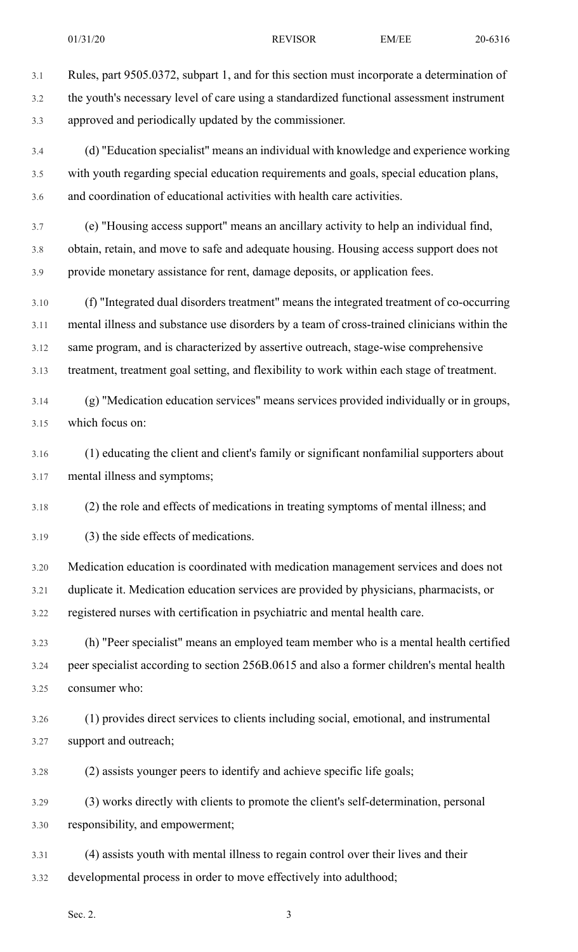3.1 Rules, part 9505.0372, subpart 1, and for this section must incorporate a determination of 3.2 the youth's necessary level of care using a standardized functional assessment instrument 3.3 approved and periodically updated by the commissioner.

3.4 (d) "Education specialist" means an individual with knowledge and experience working 3.5 with youth regarding special education requirements and goals, special education plans, 3.6 and coordination of educational activities with health care activities.

3.7 (e) "Housing access support" means an ancillary activity to help an individual find, 3.8 obtain, retain, and move to safe and adequate housing. Housing access support does not 3.9 provide monetary assistance for rent, damage deposits, or application fees.

3.10 (f) "Integrated dual disorders treatment" means the integrated treatment of co-occurring 3.11 mental illness and substance use disorders by a team of cross-trained clinicians within the 3.12 same program, and is characterized by assertive outreach, stage-wise comprehensive 3.13 treatment, treatment goal setting, and flexibility to work within each stage of treatment.

3.14 (g) "Medication education services" means services provided individually or in groups, 3.15 which focus on:

3.16 (1) educating the client and client's family or significant nonfamilial supporters about 3.17 mental illness and symptoms;

3.18 (2) the role and effects of medications in treating symptoms of mental illness; and

3.19 (3) the side effects of medications.

3.20 Medication education is coordinated with medication management services and does not 3.21 duplicate it. Medication education services are provided by physicians, pharmacists, or 3.22 registered nurses with certification in psychiatric and mental health care.

3.23 (h) "Peer specialist" means an employed team member who is a mental health certified 3.24 peer specialist according to section 256B.0615 and also a former children's mental health 3.25 consumer who:

3.26 (1) provides direct services to clients including social, emotional, and instrumental 3.27 support and outreach;

3.28 (2) assists younger peers to identify and achieve specific life goals;

3.29 (3) works directly with clients to promote the client's self-determination, personal 3.30 responsibility, and empowerment;

3.31 (4) assists youth with mental illness to regain control over their lives and their 3.32 developmental process in order to move effectively into adulthood;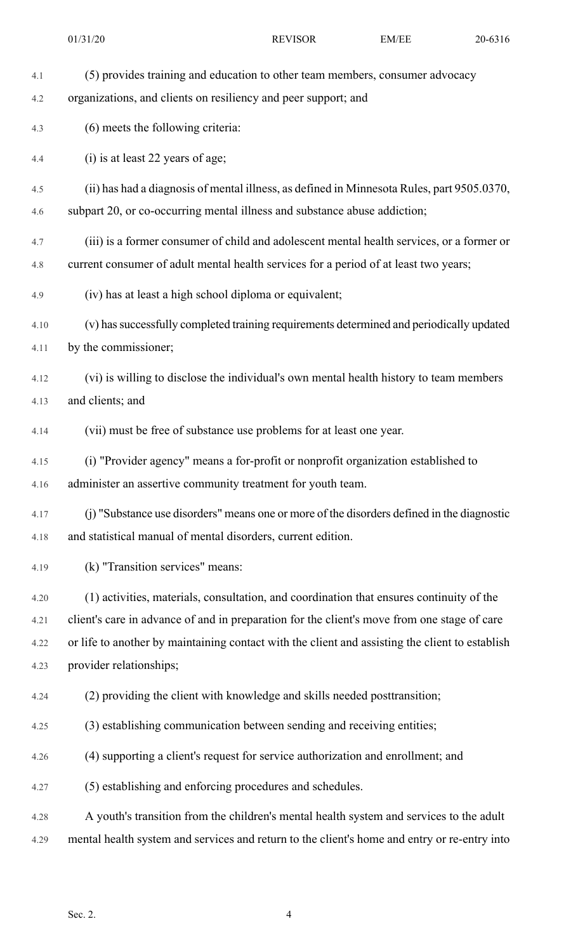4.1 (5) provides training and education to other team members, consumer advocacy 4.2 organizations, and clients on resiliency and peer support; and 4.3 (6) meets the following criteria: 4.4 (i) is at least 22 years of age; 4.5 (ii) has had a diagnosis of mental illness, as defined in Minnesota Rules, part 9505.0370, 4.6 subpart 20, or co-occurring mental illness and substance abuse addiction; 4.7 (iii) is a former consumer of child and adolescent mental health services, or a former or 4.8 current consumer of adult mental health services for a period of at least two years; 4.9 (iv) has at least a high school diploma or equivalent; 4.10 (v) hassuccessfully completed training requirements determined and periodically updated 4.11 by the commissioner; 4.12 (vi) is willing to disclose the individual's own mental health history to team members 4.13 and clients; and 4.14 (vii) must be free of substance use problems for at least one year. 4.15 (i) "Provider agency" means a for-profit or nonprofit organization established to 4.16 administer an assertive community treatment for youth team. 4.17 (j) "Substance use disorders" means one or more of the disorders defined in the diagnostic 4.18 and statistical manual of mental disorders, current edition. 4.19 (k) "Transition services" means: 4.20 (1) activities, materials, consultation, and coordination that ensures continuity of the 4.21 client's care in advance of and in preparation for the client's move from one stage of care 4.22 or life to another by maintaining contact with the client and assisting the client to establish 4.23 provider relationships; 4.24 (2) providing the client with knowledge and skills needed posttransition; 4.25 (3) establishing communication between sending and receiving entities; 4.26 (4) supporting a client's request for service authorization and enrollment; and 4.27 (5) establishing and enforcing procedures and schedules. 4.28 A youth's transition from the children's mental health system and services to the adult 4.29 mental health system and services and return to the client's home and entry or re-entry into 01/31/20 **REVISOR** EM/EE 20-6316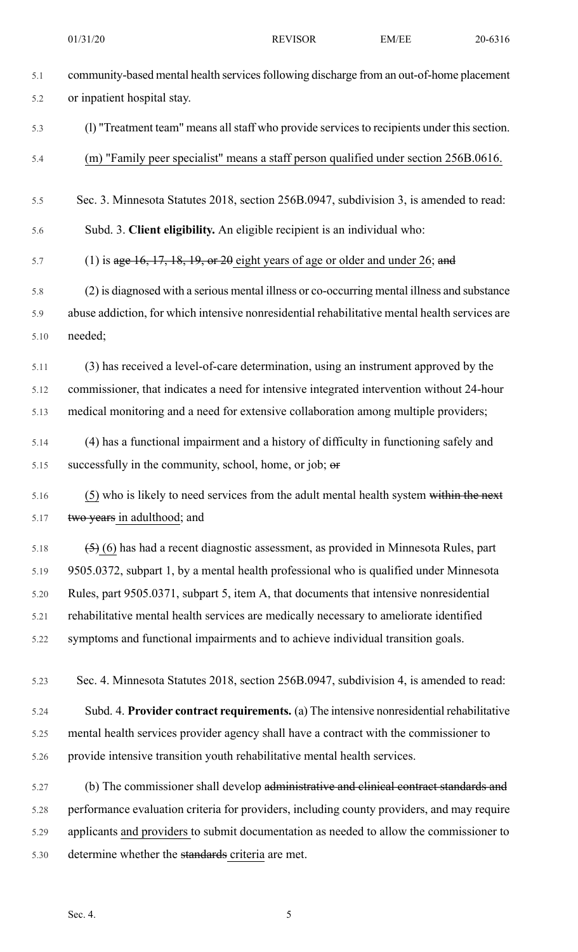5.1 community-based mental health services following discharge from an out-of-home placement 5.2 or inpatient hospital stay. 5.3 (l) "Treatment team" means allstaff who provide servicesto recipients under thissection. 5.4 (m) "Family peer specialist" means a staff person qualified under section 256B.0616. 5.5 Sec. 3. Minnesota Statutes 2018, section 256B.0947, subdivision 3, is amended to read: 5.6 Subd. 3. **Client eligibility.** An eligible recipient is an individual who: 5.7 (1) is  $\alpha$  age 16, 17, 18, 19, or 20 eight years of age or older and under 26; and 5.8 (2) is diagnosed with a serious mental illness or co-occurring mental illness and substance 5.9 abuse addiction, for which intensive nonresidential rehabilitative mental health services are 5.10 needed; 5.11 (3) has received a level-of-care determination, using an instrument approved by the 5.12 commissioner, that indicates a need for intensive integrated intervention without 24-hour 5.13 medical monitoring and a need for extensive collaboration among multiple providers; 5.14 (4) has a functional impairment and a history of difficulty in functioning safely and 5.15 successfully in the community, school, home, or job;  $er$ 5.16 (5) who is likely to need services from the adult mental health system within the next 5.17 two years in adulthood; and 5.18  $(5)$  (6) has had a recent diagnostic assessment, as provided in Minnesota Rules, part 5.19 9505.0372, subpart 1, by a mental health professional who is qualified under Minnesota 5.20 Rules, part 9505.0371, subpart 5, item A, that documents that intensive nonresidential 5.21 rehabilitative mental health services are medically necessary to ameliorate identified 5.22 symptoms and functional impairments and to achieve individual transition goals. 5.23 Sec. 4. Minnesota Statutes 2018, section 256B.0947, subdivision 4, is amended to read: 5.24 Subd. 4. **Provider contract requirements.** (a) The intensive nonresidential rehabilitative 5.25 mental health services provider agency shall have a contract with the commissioner to 5.26 provide intensive transition youth rehabilitative mental health services. 5.27 (b) The commissioner shall develop administrative and elinical contract standards and 5.28 performance evaluation criteria for providers, including county providers, and may require 5.29 applicants and providers to submit documentation as needed to allow the commissioner to 5.30 determine whether the standards criteria are met. 01/31/20 **REVISOR** EM/EE 20-6316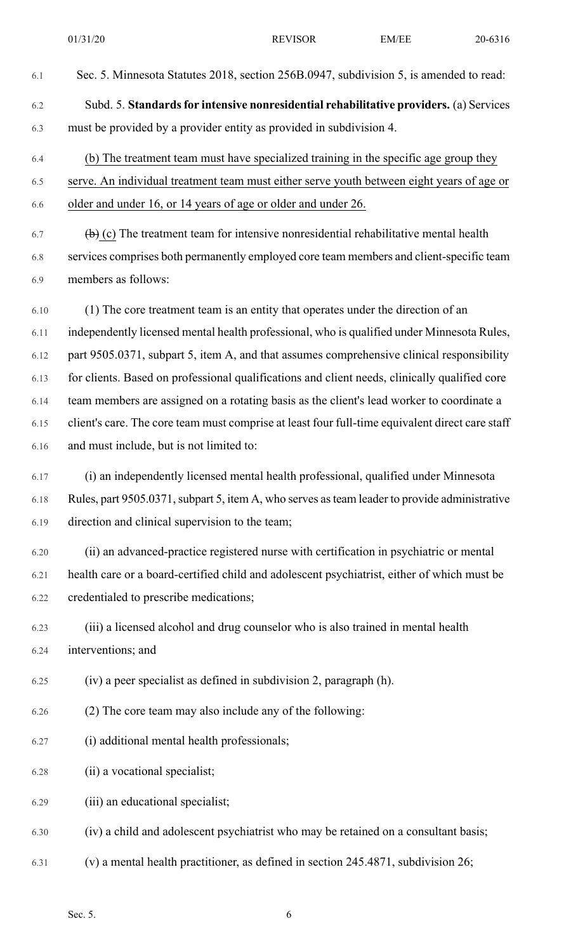- 6.1 Sec. 5. Minnesota Statutes 2018, section 256B.0947, subdivision 5, is amended to read: 6.2 Subd. 5. **Standardsfor intensive nonresidential rehabilitative providers.** (a) Services 6.3 must be provided by a provider entity as provided in subdivision 4. 6.4 (b) The treatment team must have specialized training in the specific age group they
- 6.5 serve. An individual treatment team must either serve youth between eight years of age or 6.6 older and under 16, or 14 years of age or older and under 26.
- 6.7 (b) (c) The treatment team for intensive nonresidential rehabilitative mental health 6.8 services comprises both permanently employed core team members and client-specific team 6.9 members as follows:
- 6.10 (1) The core treatment team is an entity that operates under the direction of an 6.11 independently licensed mental health professional, who is qualified under Minnesota Rules, 6.12 part 9505.0371, subpart 5, item A, and that assumes comprehensive clinical responsibility 6.13 for clients. Based on professional qualifications and client needs, clinically qualified core 6.14 team members are assigned on a rotating basis as the client's lead worker to coordinate a 6.15 client's care. The core team must comprise at least four full-time equivalent direct care staff 6.16 and must include, but is not limited to:
- 6.17 (i) an independently licensed mental health professional, qualified under Minnesota 6.18 Rules, part 9505.0371, subpart 5, item A, who serves as team leader to provide administrative 6.19 direction and clinical supervision to the team;
- 6.20 (ii) an advanced-practice registered nurse with certification in psychiatric or mental 6.21 health care or a board-certified child and adolescent psychiatrist, either of which must be 6.22 credentialed to prescribe medications;
- 6.23 (iii) a licensed alcohol and drug counselor who is also trained in mental health 6.24 interventions; and
- 6.25 (iv) a peer specialist as defined in subdivision 2, paragraph (h).
- 6.26 (2) The core team may also include any of the following:
- 6.27 (i) additional mental health professionals;
- 6.28 (ii) a vocational specialist;
- 6.29 (iii) an educational specialist;
- 6.30 (iv) a child and adolescent psychiatrist who may be retained on a consultant basis;
- 6.31 (v) a mental health practitioner, as defined in section 245.4871, subdivision 26;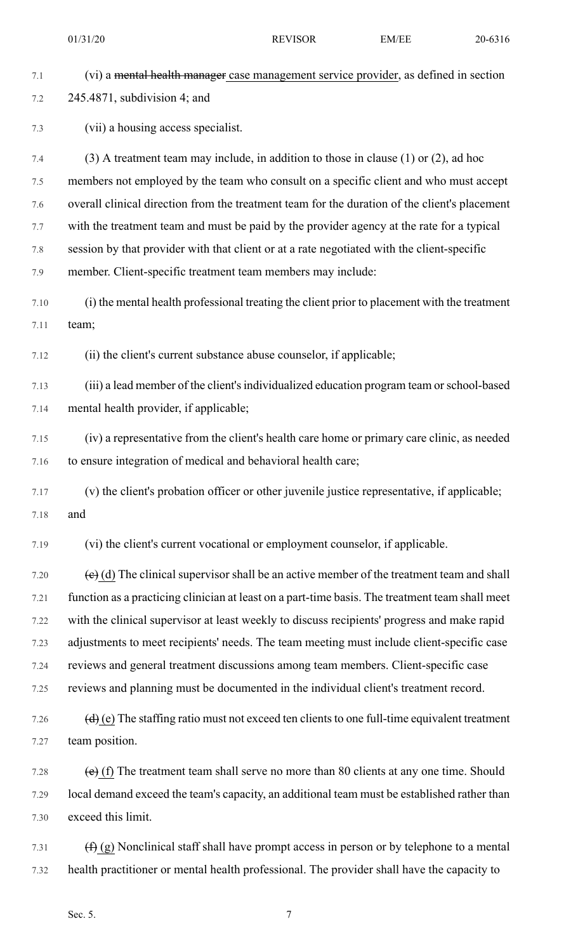7.1 (vi) a mental health manager case management service provider, as defined in section 7.2 245.4871, subdivision 4; and 7.3 (vii) a housing access specialist. 7.4 (3) A treatment team may include, in addition to those in clause (1) or (2), ad hoc 7.5 members not employed by the team who consult on a specific client and who must accept 7.6 overall clinical direction from the treatment team for the duration of the client's placement 7.7 with the treatment team and must be paid by the provider agency at the rate for a typical 7.8 session by that provider with that client or at a rate negotiated with the client-specific 7.9 member. Client-specific treatment team members may include: 7.10 (i) the mental health professional treating the client prior to placement with the treatment 7.11 team; 7.12 (ii) the client's current substance abuse counselor, if applicable; 7.13 (iii) a lead member of the client'sindividualized education program team orschool-based 7.14 mental health provider, if applicable; 7.15 (iv) a representative from the client's health care home or primary care clinic, as needed 7.16 to ensure integration of medical and behavioral health care; 7.17 (v) the client's probation officer or other juvenile justice representative, if applicable; 7.18 and 7.19 (vi) the client's current vocational or employment counselor, if applicable. 7.20  $\left(\mathbf{e}\right)$  (d) The clinical supervisor shall be an active member of the treatment team and shall 7.21 function as a practicing clinician at least on a part-time basis. The treatment team shall meet 7.22 with the clinical supervisor at least weekly to discuss recipients' progress and make rapid 7.23 adjustments to meet recipients' needs. The team meeting must include client-specific case 7.24 reviews and general treatment discussions among team members. Client-specific case 7.25 reviews and planning must be documented in the individual client's treatment record. 7.26  $(d)$  (e) The staffing ratio must not exceed ten clients to one full-time equivalent treatment 7.27 team position. 7.28  $\left(\text{e}\right)$  (f) The treatment team shall serve no more than 80 clients at any one time. Should 7.29 local demand exceed the team's capacity, an additional team must be established rather than 7.30 exceed this limit. 7.31  $(f)$  (g) Nonclinical staff shall have prompt access in person or by telephone to a mental 7.32 health practitioner or mental health professional. The provider shall have the capacity to 01/31/20 **REVISOR** EM/EE 20-6316

Sec. 5.  $\sqrt{7}$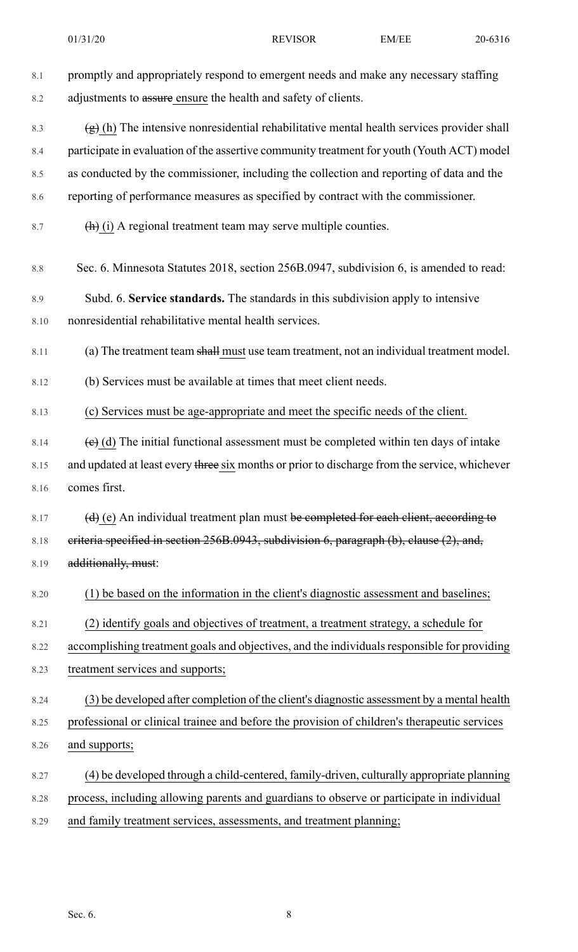- 8.1 promptly and appropriately respond to emergent needs and make any necessary staffing 8.2 adjustments to assure ensure the health and safety of clients. 8.3  $\left(\frac{1}{2}\right)$  (h) The intensive nonresidential rehabilitative mental health services provider shall 8.4 participate in evaluation of the assertive community treatment for youth (Youth ACT) model 8.5 as conducted by the commissioner, including the collection and reporting of data and the 8.6 reporting of performance measures as specified by contract with the commissioner. 8.7  $(h)$  (i) A regional treatment team may serve multiple counties. 8.8 Sec. 6. Minnesota Statutes 2018, section 256B.0947, subdivision 6, is amended to read: 8.9 Subd. 6. **Service standards.** The standards in this subdivision apply to intensive 8.10 nonresidential rehabilitative mental health services. 8.11 (a) The treatment team shall must use team treatment, not an individual treatment model. 8.12 (b) Services must be available at times that meet client needs. 8.13 (c) Services must be age-appropriate and meet the specific needs of the client. 8.14 (e) (d) The initial functional assessment must be completed within ten days of intake 8.15 and updated at least every three six months or prior to discharge from the service, whichever 8.16 comes first. 8.17  $(d)$  (e) An individual treatment plan must be completed for each client, according to 8.18 eriteria specified in section 256B.0943, subdivision 6, paragraph (b), clause (2), and, 8.19 additionally, must: 8.20 (1) be based on the information in the client's diagnostic assessment and baselines; 8.21 (2) identify goals and objectives of treatment, a treatment strategy, a schedule for 8.22 accomplishing treatment goals and objectives, and the individuals responsible for providing 8.23 treatment services and supports; 8.24 (3) be developed after completion of the client's diagnostic assessment by a mental health 8.25 professional or clinical trainee and before the provision of children's therapeutic services 8.26 and supports; 8.27 (4) be developed through a child-centered, family-driven, culturally appropriate planning 8.28 process, including allowing parents and guardians to observe or participate in individual
- 8.29 and family treatment services, assessments, and treatment planning;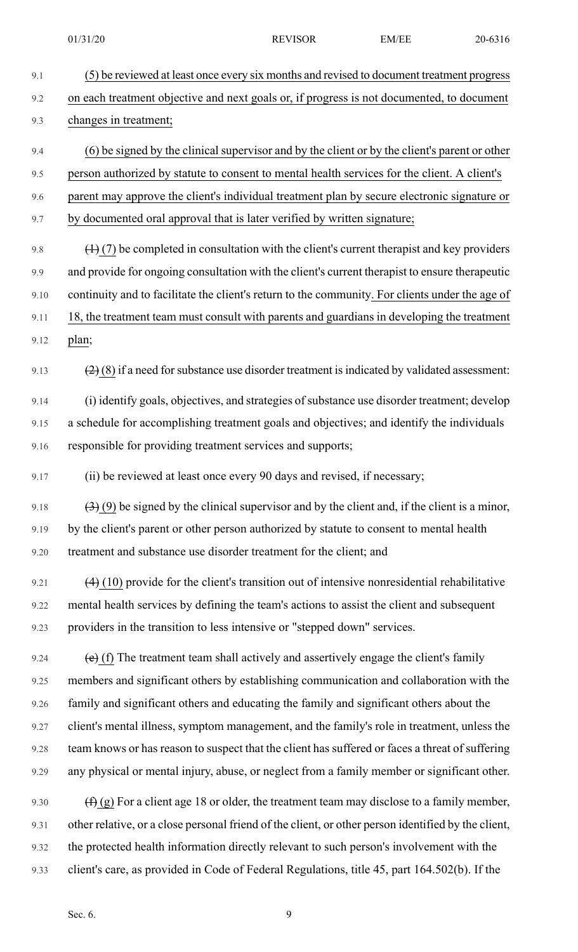9.1 (5) be reviewed at least once every six months and revised to document treatment progress 9.2 on each treatment objective and next goals or, if progress is not documented, to document 9.3 changes in treatment; 9.4 (6) be signed by the clinical supervisor and by the client or by the client's parent or other 9.5 person authorized by statute to consent to mental health services for the client. A client's 9.6 parent may approve the client's individual treatment plan by secure electronic signature or 9.7 by documented oral approval that is later verified by written signature; 9.8  $(1)$  (7) be completed in consultation with the client's current therapist and key providers 9.9 and provide for ongoing consultation with the client's current therapist to ensure therapeutic 9.10 continuity and to facilitate the client's return to the community. For clients under the age of 9.11 18, the treatment team must consult with parents and guardians in developing the treatment 9.12 plan; 9.13  $(2)(8)$  if a need for substance use disorder treatment is indicated by validated assessment: 9.14 (i) identify goals, objectives, and strategies of substance use disorder treatment; develop 9.15 a schedule for accomplishing treatment goals and objectives; and identify the individuals 9.16 responsible for providing treatment services and supports; 9.17 (ii) be reviewed at least once every 90 days and revised, if necessary; 9.18  $(3)$  (9) be signed by the clinical supervisor and by the client and, if the client is a minor, 9.19 by the client's parent or other person authorized by statute to consent to mental health 9.20 treatment and substance use disorder treatment for the client; and 9.21  $(4)$  (10) provide for the client's transition out of intensive nonresidential rehabilitative 9.22 mental health services by defining the team's actions to assist the client and subsequent 9.23 providers in the transition to less intensive or "stepped down" services. 9.24  $\left(e\right)$  (f) The treatment team shall actively and assertively engage the client's family 9.25 members and significant others by establishing communication and collaboration with the 9.26 family and significant others and educating the family and significant others about the 9.27 client's mental illness, symptom management, and the family's role in treatment, unless the 9.28 team knows or has reason to suspect that the client has suffered or faces a threat of suffering 9.29 any physical or mental injury, abuse, or neglect from a family member or significant other. 9.30  $(f)$  (g) For a client age 18 or older, the treatment team may disclose to a family member, 9.31 other relative, or a close personal friend of the client, or other person identified by the client, 9.32 the protected health information directly relevant to such person's involvement with the 9.33 client's care, as provided in Code of Federal Regulations, title 45, part 164.502(b). If the